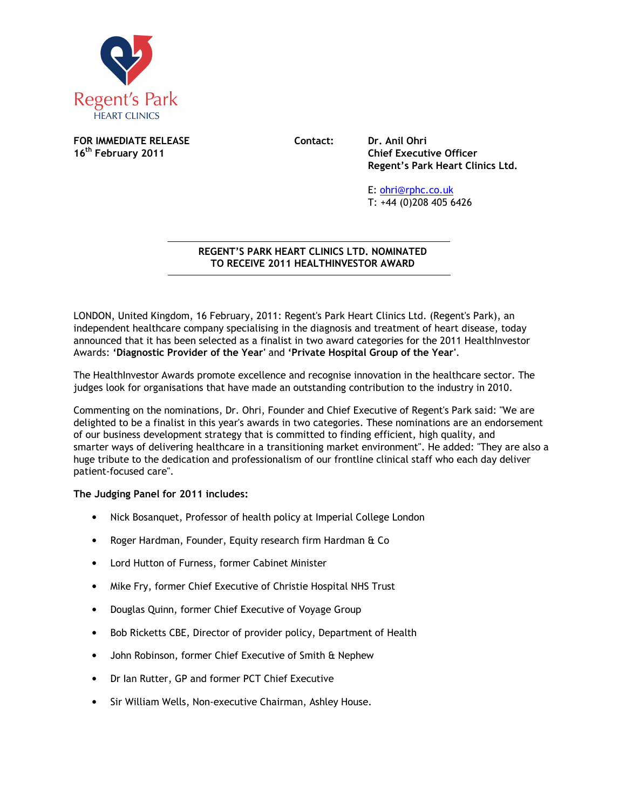

**FOR IMMEDIATE RELEASE Contact: Dr. Anil Ohri 16<sup>th</sup> February 2011** 

**Chief Executive Officer Regent's Park Heart Clinics Ltd.** 

E: ohri@rphc.co.uk T: +44 (0)208 405 6426

## **REGENT'S PARK HEART CLINICS LTD. NOMINATED TO RECEIVE 2011 HEALTHINVESTOR AWARD**   $\overline{a}$

LONDON, United Kingdom, 16 February, 2011: Regent's Park Heart Clinics Ltd. (Regent's Park), an independent healthcare company specialising in the diagnosis and treatment of heart disease, today announced that it has been selected as a finalist in two award categories for the 2011 HealthInvestor Awards: **'Diagnostic Provider of the Year'** and **'Private Hospital Group of the Year'**.

The HealthInvestor Awards promote excellence and recognise innovation in the healthcare sector. The judges look for organisations that have made an outstanding contribution to the industry in 2010.

Commenting on the nominations, Dr. Ohri, Founder and Chief Executive of Regent's Park said: "We are delighted to be a finalist in this year's awards in two categories. These nominations are an endorsement of our business development strategy that is committed to finding efficient, high quality, and smarter ways of delivering healthcare in a transitioning market environment". He added: "They are also a huge tribute to the dedication and professionalism of our frontline clinical staff who each day deliver patient-focused care".

**The Judging Panel for 2011 includes:**

- Nick Bosanquet, Professor of health policy at Imperial College London
- Roger Hardman, Founder, Equity research firm Hardman & Co
- Lord Hutton of Furness, former Cabinet Minister
- Mike Fry, former Chief Executive of Christie Hospital NHS Trust
- Douglas Quinn, former Chief Executive of Voyage Group
- Bob Ricketts CBE, Director of provider policy, Department of Health
- John Robinson, former Chief Executive of Smith & Nephew
- Dr Ian Rutter, GP and former PCT Chief Executive
- Sir William Wells, Non-executive Chairman, Ashley House.